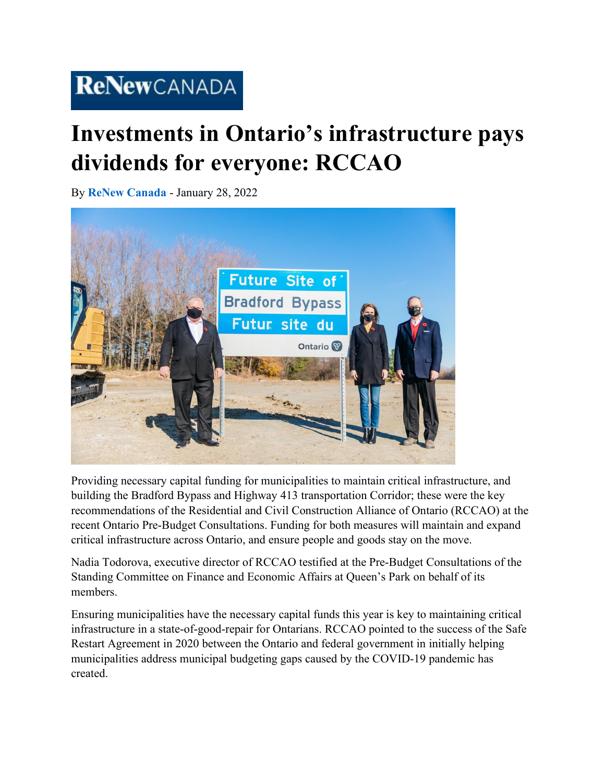## ReNewCANADA

## **Investments in Ontario's infrastructure pays dividends for everyone: RCCAO**

By **[ReNew Canada](https://www.renewcanada.net/5000090511-2/)** - January 28, 2022



Providing necessary capital funding for municipalities to maintain critical infrastructure, and building the Bradford Bypass and Highway 413 transportation Corridor; these were the key recommendations of the Residential and Civil Construction Alliance of Ontario (RCCAO) at the recent Ontario Pre-Budget Consultations. Funding for both measures will maintain and expand critical infrastructure across Ontario, and ensure people and goods stay on the move.

Nadia Todorova, executive director of RCCAO testified at the Pre-Budget Consultations of the Standing Committee on Finance and Economic Affairs at Queen's Park on behalf of its members.

Ensuring municipalities have the necessary capital funds this year is key to maintaining critical infrastructure in a state-of-good-repair for Ontarians. RCCAO pointed to the success of the Safe Restart Agreement in 2020 between the Ontario and federal government in initially helping municipalities address municipal budgeting gaps caused by the COVID-19 pandemic has created.